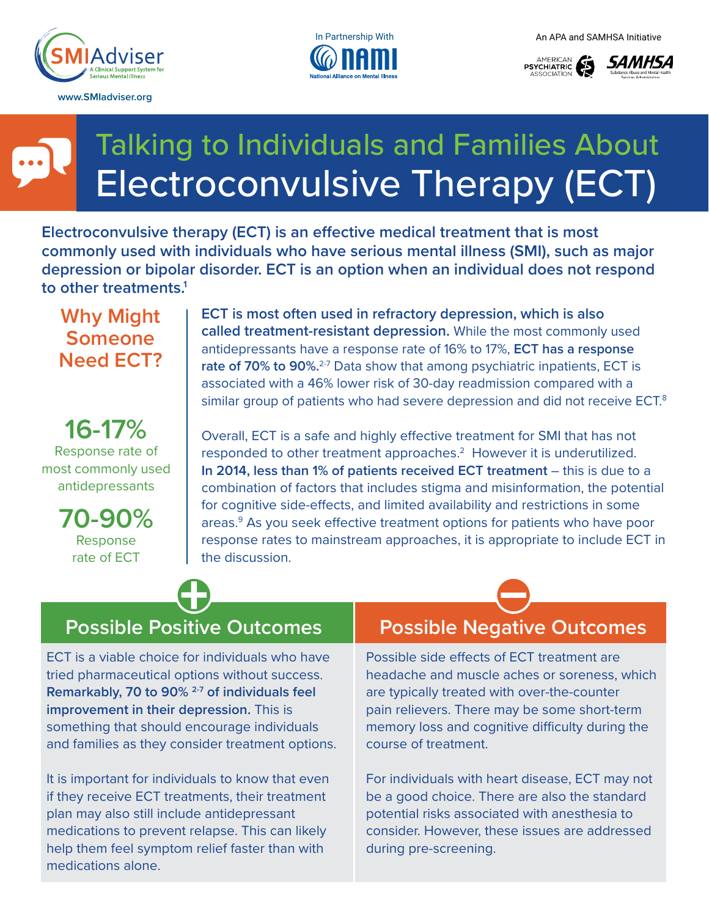

**www.SMIadviser.org** 







# Talking to Individuals and Families About Electroconvulsive Therapy (ECT)

**Electroconvulsive therapy (ECT) is an effective medical treatment that is most commonly used with individuals who have serious mental illness (SMI), such as major depression or bipolar disorder. ECT is an option when an individual does not respond to other treatments.1**

**Why Might Someone Need ECT?**

**16-17%**  Response rate of most commonly used antidepressants

> **70-90%**  Response rate of ECT

**ECT is most often used in refractory depression, which is also called treatment-resistant depression.** While the most commonly used antidepressants have a response rate of 16% to 17%, **ECT has a response**  rate of 70% to 90%.<sup>2-7</sup> Data show that among psychiatric inpatients, ECT is associated with a 46% lower risk of 30-day readmission compared with a similar group of patients who had severe depression and did not receive ECT.<sup>8</sup>

Overall, ECT is a safe and highly effective treatment for SMI that has not responded to other treatment approaches.<sup>2</sup> However it is underutilized. **In 2014, less than 1% of patients received ECT treatment** – this is due to a combination of factors that includes stigma and misinformation, the potential for cognitive side-effects, and limited availability and restrictions in some areas.<sup>9</sup> As you seek effective treatment options for patients who have poor response rates to mainstream approaches, it is appropriate to include ECT in the discussion.

# **Possible Positive Outcomes Possible Negative Outcomes**

ECT is a viable choice for individuals who have tried pharmaceutical options without success. **Remarkably, 70 to 90% 2-7 of individuals feel improvement in their depression.** This is something that should encourage individuals and families as they consider treatment options.

It is important for individuals to know that even if they receive ECT treatments, their treatment plan may also still include antidepressant medications to prevent relapse. This can likely help them feel symptom relief faster than with medications alone.

Possible side effects of ECT treatment are headache and muscle aches or soreness, which are typically treated with over-the-counter pain relievers. There may be some short-term memory loss and cognitive difficulty during the course of treatment.

For individuals with heart disease, ECT may not be a good choice. There are also the standard potential risks associated with anesthesia to consider. However, these issues are addressed during pre-screening.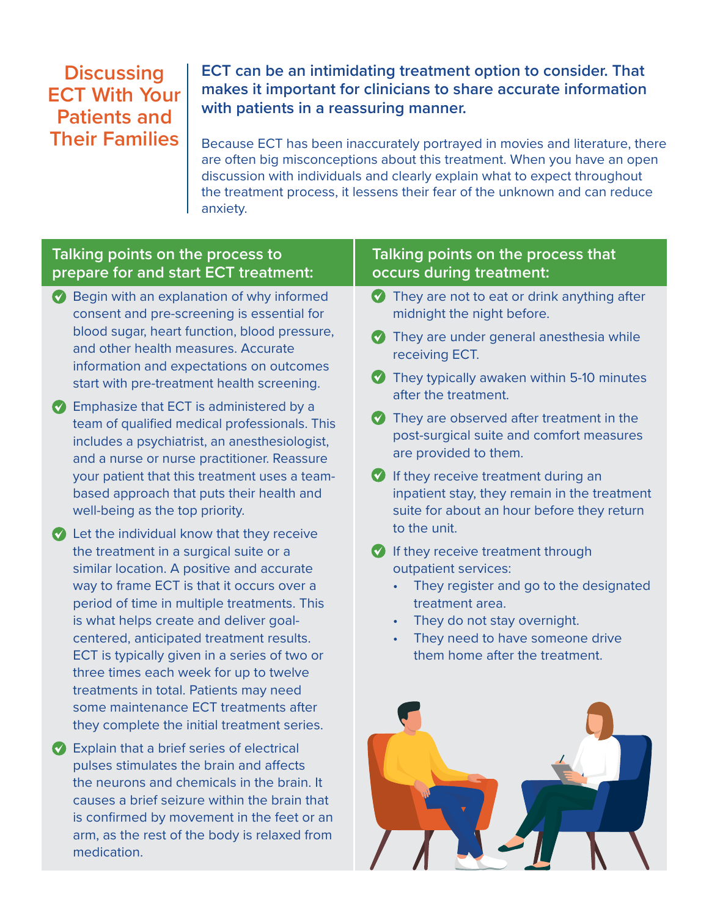# **Discussing ECT With Your Patients and Their Families**

**ECT can be an intimidating treatment option to consider. That makes it important for clinicians to share accurate information with patients in a reassuring manner.**

Because ECT has been inaccurately portrayed in movies and literature, there are often big misconceptions about this treatment. When you have an open discussion with individuals and clearly explain what to expect throughout the treatment process, it lessens their fear of the unknown and can reduce anxiety.

### **Talking points on the process to prepare for and start ECT treatment:**

- ✔ Begin with an explanation of why informed consent and pre-screening is essential for blood sugar, heart function, blood pressure, and other health measures. Accurate information and expectations on outcomes start with pre-treatment health screening.
- ✔ Emphasize that ECT is administered by a team of qualified medical professionals. This includes a psychiatrist, an anesthesiologist, and a nurse or nurse practitioner. Reassure your patient that this treatment uses a teambased approach that puts their health and well-being as the top priority.
- **2** Let the individual know that they receive the treatment in a surgical suite or a similar location. A positive and accurate way to frame ECT is that it occurs over a period of time in multiple treatments. This is what helps create and deliver goalcentered, anticipated treatment results. ECT is typically given in a series of two or three times each week for up to twelve treatments in total. Patients may need some maintenance ECT treatments after they complete the initial treatment series.
- ✔ Explain that a brief series of electrical pulses stimulates the brain and affects the neurons and chemicals in the brain. It causes a brief seizure within the brain that is confirmed by movement in the feet or an arm, as the rest of the body is relaxed from medication.

#### **Talking points on the process that occurs during treatment:**

- ◆ They are not to eat or drink anything after midnight the night before.
- **They are under general anesthesia while** receiving ECT.
- They typically awaken within 5-10 minutes after the treatment.
- ✔ They are observed after treatment in the post-surgical suite and comfort measures are provided to them.
- $\bullet$  If they receive treatment during an inpatient stay, they remain in the treatment suite for about an hour before they return to the unit.
- *If they receive treatment through* outpatient services:
	- They register and go to the designated treatment area.
	- They do not stay overnight.
	- They need to have someone drive them home after the treatment.